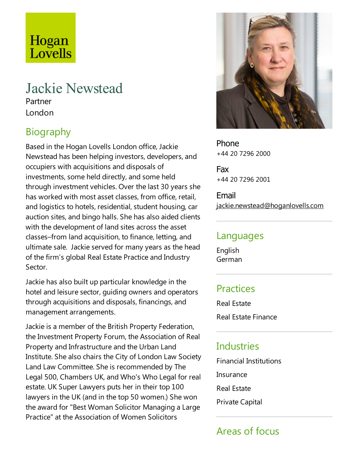# Hogan Lovells

## Jackie Newstead

Partner London

### Biography

Based in the Hogan Lovells London office, Jackie Newstead has been helping investors, developers, and occupiers with acquisitions and disposals of investments, some held directly, and some held through investment vehicles. Over the last 30 years she has worked with most asset classes, from office, retail, and logistics to hotels, residential, student housing, car auction sites, and bingo halls. She has also aided clients with the development of land sites across the asset classes–from land acquisition, to finance, letting, and ultimate sale. Jackie served for many years as the head of the firm's global Real Estate Practice and Industry Sector.

Jackie has also built up particular knowledge in the hotel and leisure sector, quiding owners and operators through acquisitions and disposals, financings, and management arrangements.

Jackie is a member of the British Property Federation, the Investment Property Forum, the Association of Real Property and Infrastructure and the Urban Land Institute. She also chairs the City of London Law Society Land Law Committee. She is recommended by The Legal 500, Chambers UK, and Who's Who Legal for real estate. UK Super Lawyers puts her in their top 100 lawyers in the UK (and in the top 50 women.) She won the award for "Best Woman Solicitor Managing a Large Practice"at the Association of Women Solicitors



Phone +44 20 7296 2000

Fax +44 20 7296 2001

Email jackie.newstead@hoganlovells.com

#### Languages

English German

#### Practices

Real Estate

Real Estate Finance

#### Industries

Financial Institutions

Insurance

Real Estate

Private Capital

#### Areas of focus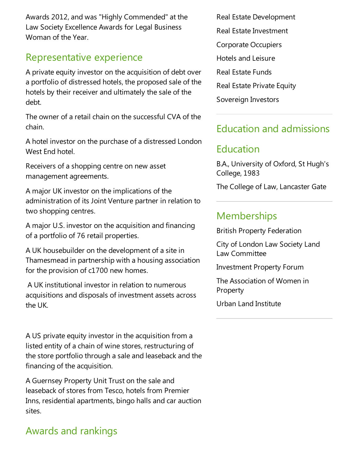Awards 2012, and was "Highly Commended" at the Law Society Excellence Awards for Legal Business Woman of the Year.

#### Representative experience

A private equity investor on the acquisition of debt over a portfolio of distressed hotels, the proposed sale of the hotels by their receiver and ultimately the sale of the debt.

The owner of a retail chain on the successful CVA of the chain.

A hotel investor on the purchase of a distressed London West Fnd hotel.

Receivers of a shopping centre on new asset management agreements.

A major UK investor on the implications of the administration of its Joint Venture partner in relation to two shopping centres.

A major U.S. investor on the acquisition and financing of a portfolio of 76 retail properties.

A UK housebuilder on the development of a site in Thamesmead in partnership with a housing association for the provision of c1700 new homes.

A UK institutional investor in relation to numerous acquisitions and disposals of investment assets across the UK.

A US private equity investor in the acquisition from a listed entity of a chain of wine stores, restructuring of the store portfolio through a sale and leaseback and the financing of the acquisition.

A Guernsey Property Unit Trust on the sale and leaseback of stores from Tesco, hotels from Premier Inns, residential apartments, bingo halls and car auction sites.

### Awards and rankings

Real Estate Development Real Estate Investment Corporate Occupiers Hotels and Leisure Real Estate Funds Real Estate Private Equity Sovereign Investors

#### Education and admissions

#### Education

B.A., University of Oxford, St Hugh's College, 1983

The College of Law, Lancaster Gate

#### **Memberships**

British Property Federation

City of London Law Society Land Law Committee

Investment Property Forum

The Association of Women in Property

Urban Land Institute